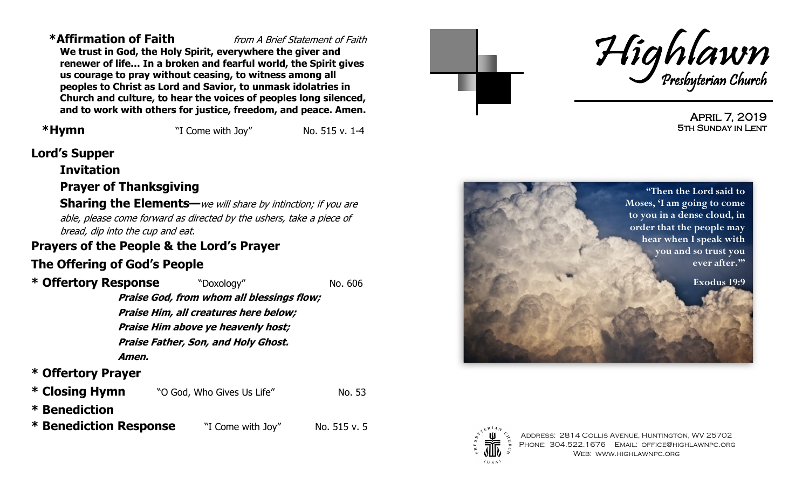**\*Affirmation of Faith** from A Brief Statement of Faith

**We trust in God, the Holy Spirit, everywhere the giver and renewer of life… In a broken and fearful world, the Spirit gives us courage to pray without ceasing, to witness among all peoples to Christ as Lord and Savior, to unmask idolatries in Church and culture, to hear the voices of peoples long silenced, and to work with others for justice, freedom, and peace. Amen.**

**\*Hymn**  $\bullet$  T Come with Joy" No. 515 v. 1-4

**Lord's Supper**

**Invitation**

**Prayer of Thanksgiving**

**Sharing the Elements**—we will share by intinction; if you are able, please come forward as directed by the ushers, take a piece of bread, dip into the cup and eat.

## **Prayers of the People & the Lord's Prayer**

## **The Offering of God's People**

\* **Offertory Response** "Doxology" No. 606 **Praise God, from whom all blessings flow; Praise Him, all creatures here below; Praise Him above ye heavenly host; Praise Father, Son, and Holy Ghost. Amen.**

## **\* Offertory Prayer**

| * Closing Hymn | "O God, Who Gives Us Life" | No. 53 |
|----------------|----------------------------|--------|
| * Benediction  |                            |        |

```
* Benediction Response "I Come with Joy" No. 515 v. 5
```




April 7, 2019 5th Sunday in Lent